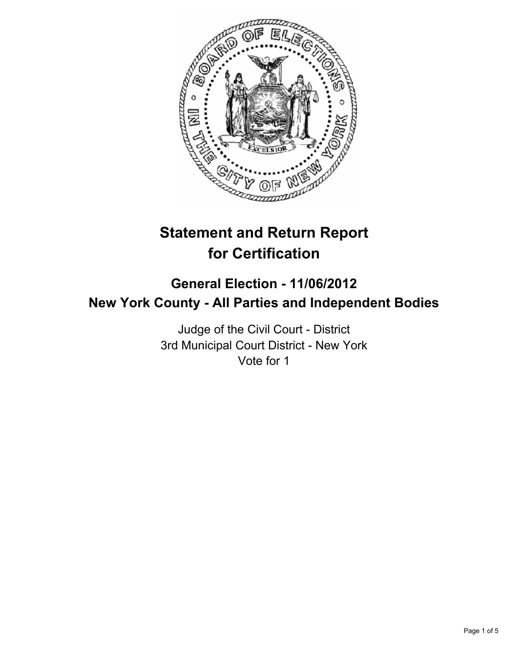

# **Statement and Return Report for Certification**

# **General Election - 11/06/2012 New York County - All Parties and Independent Bodies**

Judge of the Civil Court - District 3rd Municipal Court District - New York Vote for 1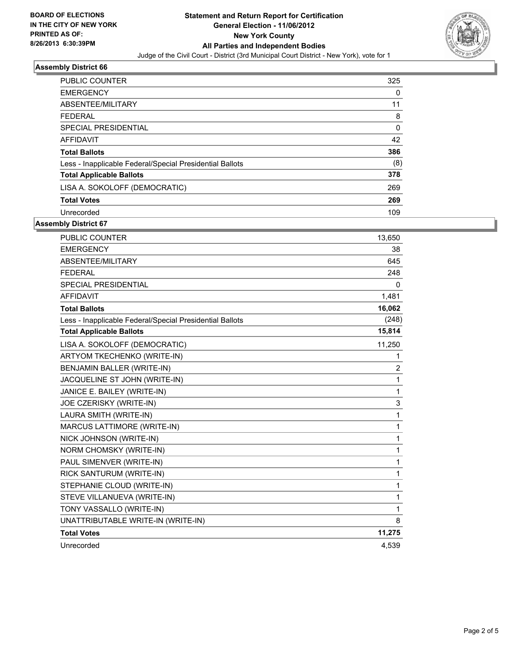

### **Assembly District 66**

| <b>PUBLIC COUNTER</b>                                    | 325      |
|----------------------------------------------------------|----------|
| <b>EMERGENCY</b>                                         | 0        |
| ABSENTEE/MILITARY                                        | 11       |
| <b>FFDFRAL</b>                                           | 8        |
| SPECIAL PRESIDENTIAL                                     | $\Omega$ |
| <b>AFFIDAVIT</b>                                         | 42       |
| <b>Total Ballots</b>                                     | 386      |
| Less - Inapplicable Federal/Special Presidential Ballots | (8)      |
| <b>Total Applicable Ballots</b>                          | 378      |
| LISA A. SOKOLOFF (DEMOCRATIC)                            | 269      |
| <b>Total Votes</b>                                       | 269      |
| Unrecorded                                               | 109      |

#### **Assembly District 67**

| <b>PUBLIC COUNTER</b>                                    | 13,650         |
|----------------------------------------------------------|----------------|
| <b>EMERGENCY</b>                                         | 38             |
| ABSENTEE/MILITARY                                        | 645            |
| <b>FEDERAL</b>                                           | 248            |
| <b>SPECIAL PRESIDENTIAL</b>                              | 0              |
| <b>AFFIDAVIT</b>                                         | 1,481          |
| <b>Total Ballots</b>                                     | 16,062         |
| Less - Inapplicable Federal/Special Presidential Ballots | (248)          |
| <b>Total Applicable Ballots</b>                          | 15,814         |
| LISA A. SOKOLOFF (DEMOCRATIC)                            | 11,250         |
| ARTYOM TKECHENKO (WRITE-IN)                              | 1              |
| BENJAMIN BALLER (WRITE-IN)                               | $\overline{2}$ |
| JACQUELINE ST JOHN (WRITE-IN)                            | 1              |
| JANICE E. BAILEY (WRITE-IN)                              | 1              |
| JOE CZERISKY (WRITE-IN)                                  | 3              |
| LAURA SMITH (WRITE-IN)                                   | 1              |
| MARCUS LATTIMORE (WRITE-IN)                              | 1              |
| NICK JOHNSON (WRITE-IN)                                  | 1              |
| NORM CHOMSKY (WRITE-IN)                                  | 1              |
| PAUL SIMENVER (WRITE-IN)                                 | 1              |
| RICK SANTURUM (WRITE-IN)                                 | 1              |
| STEPHANIE CLOUD (WRITE-IN)                               | 1              |
| STEVE VILLANUEVA (WRITE-IN)                              | 1              |
| TONY VASSALLO (WRITE-IN)                                 | 1              |
| UNATTRIBUTABLE WRITE-IN (WRITE-IN)                       | 8              |
| <b>Total Votes</b>                                       | 11,275         |
| Unrecorded                                               | 4,539          |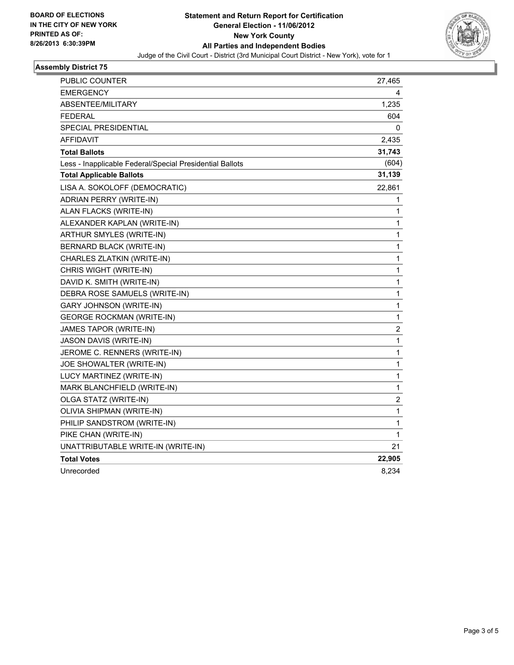

#### **Assembly District 75**

| PUBLIC COUNTER                                           | 27,465       |
|----------------------------------------------------------|--------------|
| <b>EMERGENCY</b>                                         | 4            |
| ABSENTEE/MILITARY                                        | 1,235        |
| FEDERAL                                                  | 604          |
| SPECIAL PRESIDENTIAL                                     | 0            |
| AFFIDAVIT                                                | 2,435        |
| <b>Total Ballots</b>                                     | 31,743       |
| Less - Inapplicable Federal/Special Presidential Ballots | (604)        |
| <b>Total Applicable Ballots</b>                          | 31,139       |
| LISA A. SOKOLOFF (DEMOCRATIC)                            | 22,861       |
| ADRIAN PERRY (WRITE-IN)                                  | 1            |
| ALAN FLACKS (WRITE-IN)                                   | 1            |
| ALEXANDER KAPLAN (WRITE-IN)                              | 1            |
| ARTHUR SMYLES (WRITE-IN)                                 | 1            |
| BERNARD BLACK (WRITE-IN)                                 | 1            |
| CHARLES ZLATKIN (WRITE-IN)                               | $\mathbf{1}$ |
| CHRIS WIGHT (WRITE-IN)                                   | 1            |
| DAVID K. SMITH (WRITE-IN)                                | 1            |
| DEBRA ROSE SAMUELS (WRITE-IN)                            | 1            |
| <b>GARY JOHNSON (WRITE-IN)</b>                           | 1            |
| <b>GEORGE ROCKMAN (WRITE-IN)</b>                         | 1            |
| JAMES TAPOR (WRITE-IN)                                   | 2            |
| JASON DAVIS (WRITE-IN)                                   | 1            |
| JEROME C. RENNERS (WRITE-IN)                             | 1            |
| JOE SHOWALTER (WRITE-IN)                                 | 1            |
| LUCY MARTINEZ (WRITE-IN)                                 | $\mathbf 1$  |
| MARK BLANCHFIELD (WRITE-IN)                              | 1            |
| OLGA STATZ (WRITE-IN)                                    | 2            |
| OLIVIA SHIPMAN (WRITE-IN)                                | 1            |
| PHILIP SANDSTROM (WRITE-IN)                              | 1            |
| PIKE CHAN (WRITE-IN)                                     | 1            |
| UNATTRIBUTABLE WRITE-IN (WRITE-IN)                       | 21           |
| <b>Total Votes</b>                                       | 22,905       |
| Unrecorded                                               | 8,234        |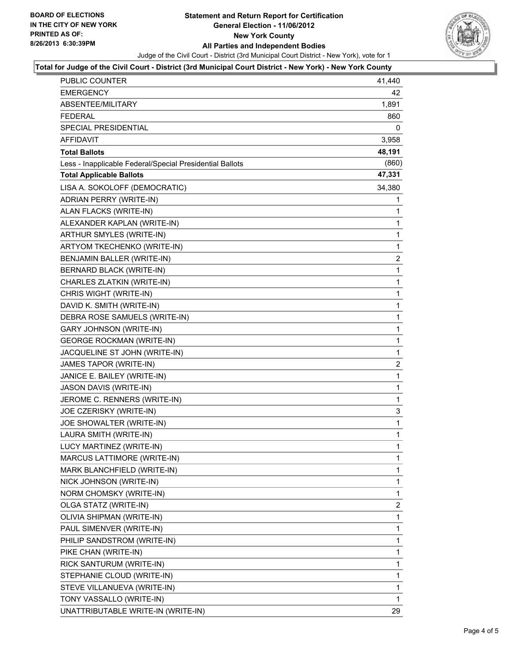

#### **Total for Judge of the Civil Court - District (3rd Municipal Court District - New York) - New York County**

| PUBLIC COUNTER                                           | 41,440       |
|----------------------------------------------------------|--------------|
| EMERGENCY                                                | 42           |
| ABSENTEE/MILITARY                                        | 1,891        |
| <b>FEDERAL</b>                                           | 860          |
| SPECIAL PRESIDENTIAL                                     | 0            |
| <b>AFFIDAVIT</b>                                         | 3,958        |
| <b>Total Ballots</b>                                     | 48,191       |
| Less - Inapplicable Federal/Special Presidential Ballots | (860)        |
| <b>Total Applicable Ballots</b>                          | 47,331       |
| LISA A. SOKOLOFF (DEMOCRATIC)                            | 34,380       |
| ADRIAN PERRY (WRITE-IN)                                  | 1            |
| ALAN FLACKS (WRITE-IN)                                   | 1            |
| ALEXANDER KAPLAN (WRITE-IN)                              | 1            |
| ARTHUR SMYLES (WRITE-IN)                                 | $\mathbf{1}$ |
| ARTYOM TKECHENKO (WRITE-IN)                              | 1            |
| BENJAMIN BALLER (WRITE-IN)                               | 2            |
| <b>BERNARD BLACK (WRITE-IN)</b>                          | $\mathbf 1$  |
| CHARLES ZLATKIN (WRITE-IN)                               | 1            |
| CHRIS WIGHT (WRITE-IN)                                   | 1            |
| DAVID K. SMITH (WRITE-IN)                                | $\mathbf{1}$ |
| DEBRA ROSE SAMUELS (WRITE-IN)                            | 1            |
| GARY JOHNSON (WRITE-IN)                                  | 1            |
| <b>GEORGE ROCKMAN (WRITE-IN)</b>                         | $\mathbf{1}$ |
| JACQUELINE ST JOHN (WRITE-IN)                            | 1            |
| JAMES TAPOR (WRITE-IN)                                   | 2            |
| JANICE E. BAILEY (WRITE-IN)                              | $\mathbf 1$  |
| JASON DAVIS (WRITE-IN)                                   | 1            |
| JEROME C. RENNERS (WRITE-IN)                             | 1            |
| JOE CZERISKY (WRITE-IN)                                  | 3            |
| JOE SHOWALTER (WRITE-IN)                                 | 1            |
| LAURA SMITH (WRITE-IN)                                   | 1            |
| LUCY MARTINEZ (WRITE-IN)                                 | $\mathbf{1}$ |
| MARCUS LATTIMORE (WRITE-IN)                              | 1            |
| MARK BLANCHFIELD (WRITE-IN)                              | 1            |
| NICK JOHNSON (WRITE-IN)                                  | 1            |
| NORM CHOMSKY (WRITE-IN)                                  | 1            |
| OLGA STATZ (WRITE-IN)                                    | 2            |
| OLIVIA SHIPMAN (WRITE-IN)                                | 1            |
| PAUL SIMENVER (WRITE-IN)                                 | 1            |
| PHILIP SANDSTROM (WRITE-IN)                              | 1            |
| PIKE CHAN (WRITE-IN)                                     | 1            |
| RICK SANTURUM (WRITE-IN)                                 | 1            |
| STEPHANIE CLOUD (WRITE-IN)                               | 1            |
| STEVE VILLANUEVA (WRITE-IN)                              | 1            |
| TONY VASSALLO (WRITE-IN)                                 | 1            |
| UNATTRIBUTABLE WRITE-IN (WRITE-IN)                       | 29           |
|                                                          |              |